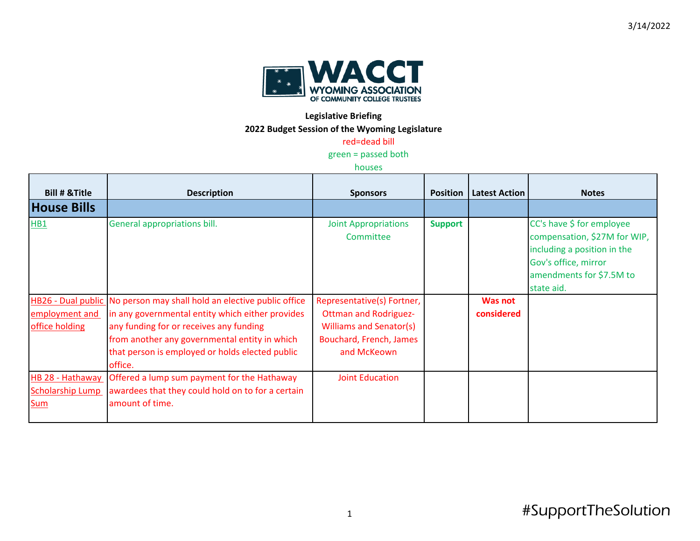

## **Legislative Briefing**

**2022 Budget Session of the Wyoming Legislature**

## red=dead bill

green = passed both

## houses

| <b>Bill # &amp; Title</b>                   | <b>Description</b>                                                                                                                                                                                                                                                                  | <b>Sponsors</b>                                                                                                                        |                | <b>Position   Latest Action</b> | <b>Notes</b>                                                                                                                                               |
|---------------------------------------------|-------------------------------------------------------------------------------------------------------------------------------------------------------------------------------------------------------------------------------------------------------------------------------------|----------------------------------------------------------------------------------------------------------------------------------------|----------------|---------------------------------|------------------------------------------------------------------------------------------------------------------------------------------------------------|
| <b>House Bills</b>                          |                                                                                                                                                                                                                                                                                     |                                                                                                                                        |                |                                 |                                                                                                                                                            |
| HB1                                         | General appropriations bill.                                                                                                                                                                                                                                                        | <b>Joint Appropriations</b><br>Committee                                                                                               | <b>Support</b> |                                 | CC's have \$ for employee<br>compensation, \$27M for WIP,<br>including a position in the<br>Gov's office, mirror<br>amendments for \$7.5M to<br>state aid. |
| employment and<br>office holding            | HB26 - Dual public No person may shall hold an elective public office<br>in any governmental entity which either provides<br>any funding for or receives any funding<br>from another any governmental entity in which<br>that person is employed or holds elected public<br>office. | Representative(s) Fortner,<br><b>Ottman and Rodriguez-</b><br><b>Williams and Senator(s)</b><br>Bouchard, French, James<br>and McKeown |                | Was not<br>considered           |                                                                                                                                                            |
| HB 28 - Hathaway<br>Scholarship Lump<br>Sum | Offered a lump sum payment for the Hathaway<br>awardees that they could hold on to for a certain<br>amount of time.                                                                                                                                                                 | <b>Joint Education</b>                                                                                                                 |                |                                 |                                                                                                                                                            |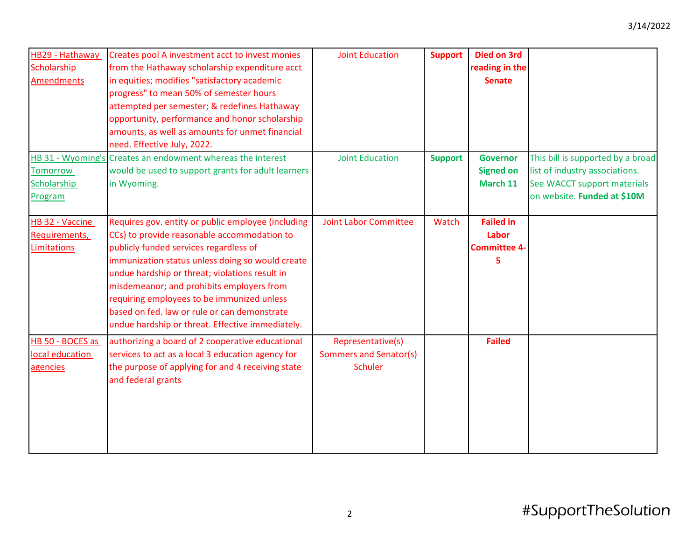| HB29 - Hathaway   | Creates pool A investment acct to invest monies             | <b>Joint Education</b>       | <b>Support</b> | <b>Died on 3rd</b>  |                                   |
|-------------------|-------------------------------------------------------------|------------------------------|----------------|---------------------|-----------------------------------|
| Scholarship       | from the Hathaway scholarship expenditure acct              |                              |                | reading in the      |                                   |
| <b>Amendments</b> | in equities; modifies "satisfactory academic                |                              |                | <b>Senate</b>       |                                   |
|                   | progress" to mean 50% of semester hours                     |                              |                |                     |                                   |
|                   | attempted per semester; & redefines Hathaway                |                              |                |                     |                                   |
|                   | opportunity, performance and honor scholarship              |                              |                |                     |                                   |
|                   | amounts, as well as amounts for unmet financial             |                              |                |                     |                                   |
|                   | need. Effective July, 2022.                                 |                              |                |                     |                                   |
|                   | HB 31 - Wyoming's Creates an endowment whereas the interest | <b>Joint Education</b>       | <b>Support</b> | <b>Governor</b>     | This bill is supported by a broad |
| <b>Tomorrow</b>   | would be used to support grants for adult learners          |                              |                | <b>Signed on</b>    | list of industry associations.    |
| Scholarship       | in Wyoming.                                                 |                              |                | March 11            | See WACCT support materials       |
| Program           |                                                             |                              |                |                     | on website. Funded at \$10M       |
|                   |                                                             |                              |                |                     |                                   |
| HB 32 - Vaccine   | Requires gov. entity or public employee (including          | <b>Joint Labor Committee</b> | Watch          | <b>Failed in</b>    |                                   |
| Requirements,     | CCs) to provide reasonable accommodation to                 |                              |                | Labor               |                                   |
| Limitations       | publicly funded services regardless of                      |                              |                | <b>Committee 4-</b> |                                   |
|                   | immunization status unless doing so would create            |                              |                | 5                   |                                   |
|                   | undue hardship or threat; violations result in              |                              |                |                     |                                   |
|                   | misdemeanor; and prohibits employers from                   |                              |                |                     |                                   |
|                   | requiring employees to be immunized unless                  |                              |                |                     |                                   |
|                   | based on fed. law or rule or can demonstrate                |                              |                |                     |                                   |
|                   | undue hardship or threat. Effective immediately.            |                              |                |                     |                                   |
| HB 50 - BOCES as  | authorizing a board of 2 cooperative educational            | Representative(s)            |                | <b>Failed</b>       |                                   |
| local education   | services to act as a local 3 education agency for           | Sommers and Senator(s)       |                |                     |                                   |
| agencies          | the purpose of applying for and 4 receiving state           | <b>Schuler</b>               |                |                     |                                   |
|                   | and federal grants                                          |                              |                |                     |                                   |
|                   |                                                             |                              |                |                     |                                   |
|                   |                                                             |                              |                |                     |                                   |
|                   |                                                             |                              |                |                     |                                   |
|                   |                                                             |                              |                |                     |                                   |
|                   |                                                             |                              |                |                     |                                   |
|                   |                                                             |                              |                |                     |                                   |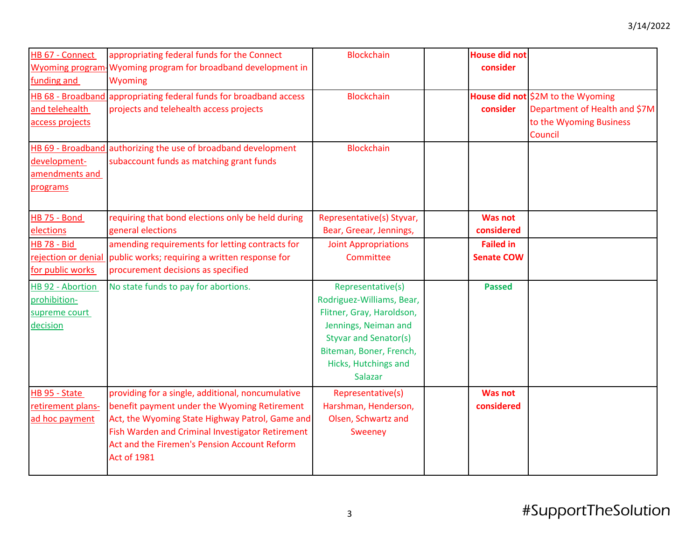| HB 67 - Connect<br>funding and                                | appropriating federal funds for the Connect<br>Wyoming program-Wyoming program for broadband development in<br>Wyoming<br>HB 68 - Broadband appropriating federal funds for broadband access                                                                                   | <b>Blockchain</b><br><b>Blockchain</b>                                                                                                                                                            | <b>House did not</b><br>consider      | House did not \$2M to the Wyoming                                   |
|---------------------------------------------------------------|--------------------------------------------------------------------------------------------------------------------------------------------------------------------------------------------------------------------------------------------------------------------------------|---------------------------------------------------------------------------------------------------------------------------------------------------------------------------------------------------|---------------------------------------|---------------------------------------------------------------------|
| and telehealth<br>access projects                             | projects and telehealth access projects                                                                                                                                                                                                                                        |                                                                                                                                                                                                   | consider                              | Department of Health and \$7M<br>to the Wyoming Business<br>Council |
| development-<br>amendments and<br>programs                    | HB 69 - Broadband authorizing the use of broadband development<br>subaccount funds as matching grant funds                                                                                                                                                                     | <b>Blockchain</b>                                                                                                                                                                                 |                                       |                                                                     |
| <b>HB 75 - Bond</b><br>elections                              | requiring that bond elections only be held during<br>general elections                                                                                                                                                                                                         | Representative(s) Styvar,<br>Bear, Greear, Jennings,                                                                                                                                              | <b>Was not</b><br>considered          |                                                                     |
| <b>HB 78 - Bid</b><br>for public works                        | amending requirements for letting contracts for<br>rejection or denial public works; requiring a written response for<br>procurement decisions as specified                                                                                                                    | <b>Joint Appropriations</b><br>Committee                                                                                                                                                          | <b>Failed in</b><br><b>Senate COW</b> |                                                                     |
| HB 92 - Abortion<br>prohibition-<br>supreme court<br>decision | No state funds to pay for abortions.                                                                                                                                                                                                                                           | Representative(s)<br>Rodriguez-Williams, Bear,<br>Flitner, Gray, Haroldson,<br>Jennings, Neiman and<br><b>Styvar and Senator(s)</b><br>Biteman, Boner, French,<br>Hicks, Hutchings and<br>Salazar | <b>Passed</b>                         |                                                                     |
| HB 95 - State<br>retirement plans-<br>ad hoc payment          | providing for a single, additional, noncumulative<br>benefit payment under the Wyoming Retirement<br>Act, the Wyoming State Highway Patrol, Game and<br>Fish Warden and Criminal Investigator Retirement<br>Act and the Firemen's Pension Account Reform<br><b>Act of 1981</b> | Representative(s)<br>Harshman, Henderson,<br>Olsen, Schwartz and<br>Sweeney                                                                                                                       | <b>Was not</b><br>considered          |                                                                     |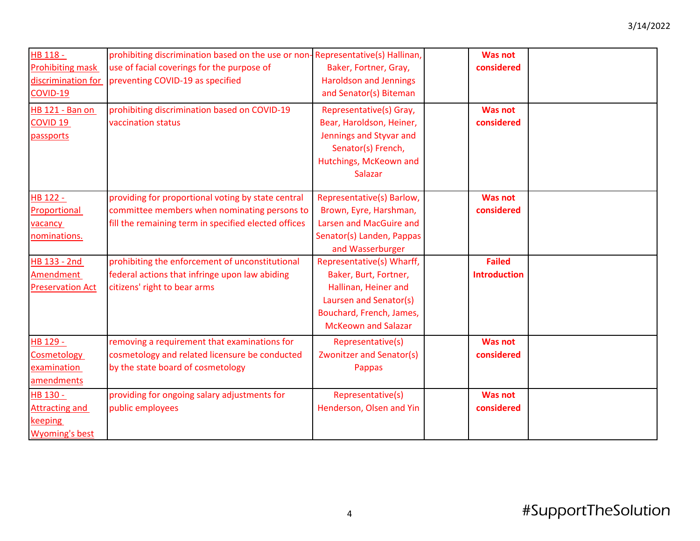| HB 118 -<br><b>Prohibiting mask</b><br>discrimination for<br>COVID-19 | prohibiting discrimination based on the use or non-Representative(s) Hallinan,<br>use of facial coverings for the purpose of<br>preventing COVID-19 as specified | Baker, Fortner, Gray,<br><b>Haroldson and Jennings</b><br>and Senator(s) Biteman                                                                               | <b>Was not</b><br>considered         |  |
|-----------------------------------------------------------------------|------------------------------------------------------------------------------------------------------------------------------------------------------------------|----------------------------------------------------------------------------------------------------------------------------------------------------------------|--------------------------------------|--|
| <b>HB 121 - Ban on</b><br><b>COVID 19</b><br>passports                | prohibiting discrimination based on COVID-19<br>vaccination status                                                                                               | Representative(s) Gray,<br>Bear, Haroldson, Heiner,<br>Jennings and Styvar and<br>Senator(s) French,<br>Hutchings, McKeown and<br>Salazar                      | <b>Was not</b><br>considered         |  |
| HB 122 -<br>Proportional<br>vacancy<br>nominations.                   | providing for proportional voting by state central<br>committee members when nominating persons to<br>fill the remaining term in specified elected offices       | Representative(s) Barlow,<br>Brown, Eyre, Harshman,<br>Larsen and MacGuire and<br>Senator(s) Landen, Pappas<br>and Wasserburger                                | <b>Was not</b><br>considered         |  |
| HB 133 - 2nd<br>Amendment<br><b>Preservation Act</b>                  | prohibiting the enforcement of unconstitutional<br>federal actions that infringe upon law abiding<br>citizens' right to bear arms                                | Representative(s) Wharff,<br>Baker, Burt, Fortner,<br>Hallinan, Heiner and<br>Laursen and Senator(s)<br>Bouchard, French, James,<br><b>McKeown and Salazar</b> | <b>Failed</b><br><b>Introduction</b> |  |
| HB 129 -<br>Cosmetology<br>examination<br>amendments                  | removing a requirement that examinations for<br>cosmetology and related licensure be conducted<br>by the state board of cosmetology                              | Representative(s)<br><b>Zwonitzer and Senator(s)</b><br>Pappas                                                                                                 | <b>Was not</b><br>considered         |  |
| HB 130 -<br><b>Attracting and</b><br>keeping<br><b>Wyoming's best</b> | providing for ongoing salary adjustments for<br>public employees                                                                                                 | Representative(s)<br>Henderson, Olsen and Yin                                                                                                                  | <b>Was not</b><br>considered         |  |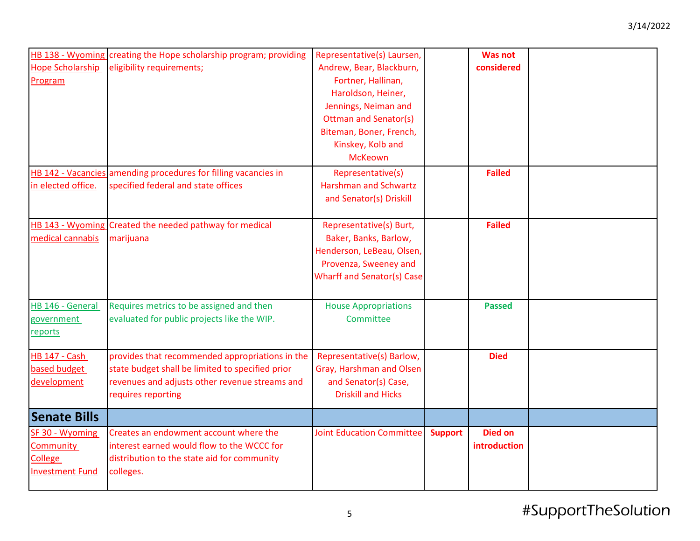| <b>Hope Scholarship</b><br>Program                                              | HB 138 - Wyoming creating the Hope scholarship program; providing<br>eligibility requirements;                                                                              | Representative(s) Laursen,<br>Andrew, Bear, Blackburn,<br>Fortner, Hallinan,<br>Haroldson, Heiner,<br>Jennings, Neiman and<br><b>Ottman and Senator(s)</b><br>Biteman, Boner, French,<br>Kinskey, Kolb and<br><b>McKeown</b> |                | <b>Was not</b><br>considered   |  |
|---------------------------------------------------------------------------------|-----------------------------------------------------------------------------------------------------------------------------------------------------------------------------|------------------------------------------------------------------------------------------------------------------------------------------------------------------------------------------------------------------------------|----------------|--------------------------------|--|
| in elected office.                                                              | HB 142 - Vacancies amending procedures for filling vacancies in<br>specified federal and state offices                                                                      | Representative(s)<br><b>Harshman and Schwartz</b><br>and Senator(s) Driskill                                                                                                                                                 |                | <b>Failed</b>                  |  |
| medical cannabis                                                                | HB 143 - Wyoming Created the needed pathway for medical<br>marijuana                                                                                                        | Representative(s) Burt,<br>Baker, Banks, Barlow,<br>Henderson, LeBeau, Olsen,<br>Provenza, Sweeney and<br><b>Wharff and Senator(s) Case</b>                                                                                  |                | <b>Failed</b>                  |  |
| HB 146 - General<br>government<br>reports                                       | Requires metrics to be assigned and then<br>evaluated for public projects like the WIP.                                                                                     | <b>House Appropriations</b><br>Committee                                                                                                                                                                                     |                | <b>Passed</b>                  |  |
| <b>HB 147 - Cash</b><br>based budget<br>development                             | provides that recommended appropriations in the<br>state budget shall be limited to specified prior<br>revenues and adjusts other revenue streams and<br>requires reporting | Representative(s) Barlow,<br>Gray, Harshman and Olsen<br>and Senator(s) Case,<br><b>Driskill and Hicks</b>                                                                                                                   |                | <b>Died</b>                    |  |
| <b>Senate Bills</b>                                                             |                                                                                                                                                                             |                                                                                                                                                                                                                              |                |                                |  |
| SF 30 - Wyoming<br><b>Community</b><br><b>College</b><br><b>Investment Fund</b> | Creates an endowment account where the<br>interest earned would flow to the WCCC for<br>distribution to the state aid for community<br>colleges.                            | <b>Joint Education Committee</b>                                                                                                                                                                                             | <b>Support</b> | <b>Died on</b><br>introduction |  |

## <sup>5</sup> #SupportTheSolution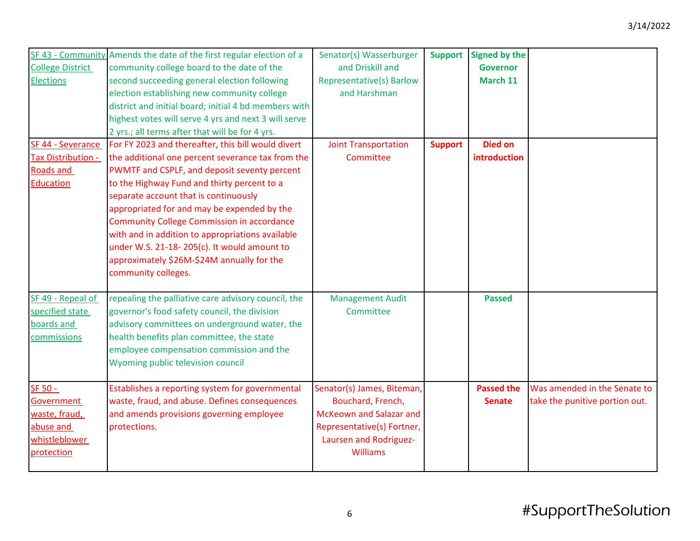| <b>College District</b><br><b>Elections</b>                                        | SF 43 - Community Amends the date of the first regular election of a<br>community college board to the date of the<br>second succeeding general election following<br>election establishing new community college<br>district and initial board; initial 4 bd members with<br>highest votes will serve 4 yrs and next 3 will serve<br>2 yrs.; all terms after that will be for 4 yrs.                                                                                                                                       | Senator(s) Wasserburger<br>and Driskill and<br><b>Representative(s) Barlow</b><br>and Harshman                                                        | <b>Support</b> | <b>Signed by the</b><br><b>Governor</b><br>March 11 |                                                                |
|------------------------------------------------------------------------------------|-----------------------------------------------------------------------------------------------------------------------------------------------------------------------------------------------------------------------------------------------------------------------------------------------------------------------------------------------------------------------------------------------------------------------------------------------------------------------------------------------------------------------------|-------------------------------------------------------------------------------------------------------------------------------------------------------|----------------|-----------------------------------------------------|----------------------------------------------------------------|
| SF 44 - Severance<br><b>Tax Distribution -</b><br>Roads and<br><b>Education</b>    | For FY 2023 and thereafter, this bill would divert<br>the additional one percent severance tax from the<br>PWMTF and CSPLF, and deposit seventy percent<br>to the Highway Fund and thirty percent to a<br>separate account that is continuously<br>appropriated for and may be expended by the<br><b>Community College Commission in accordance</b><br>with and in addition to appropriations available<br>under W.S. 21-18-205(c). It would amount to<br>approximately \$26M-\$24M annually for the<br>community colleges. | <b>Joint Transportation</b><br>Committee                                                                                                              | <b>Support</b> | <b>Died on</b><br>introduction                      |                                                                |
| SF 49 - Repeal of<br>specified state<br>boards and<br>commissions                  | repealing the palliative care advisory council, the<br>governor's food safety council, the division<br>advisory committees on underground water, the<br>health benefits plan committee, the state<br>employee compensation commission and the<br>Wyoming public television council                                                                                                                                                                                                                                          | <b>Management Audit</b><br>Committee                                                                                                                  |                | <b>Passed</b>                                       |                                                                |
| SF 50 -<br>Government<br>waste, fraud,<br>abuse and<br>whistleblower<br>protection | Establishes a reporting system for governmental<br>waste, fraud, and abuse. Defines consequences<br>and amends provisions governing employee<br>protections.                                                                                                                                                                                                                                                                                                                                                                | Senator(s) James, Biteman,<br>Bouchard, French,<br>McKeown and Salazar and<br>Representative(s) Fortner,<br>Laursen and Rodriguez-<br><b>Williams</b> |                | <b>Passed the</b><br><b>Senate</b>                  | Was amended in the Senate to<br>take the punitive portion out. |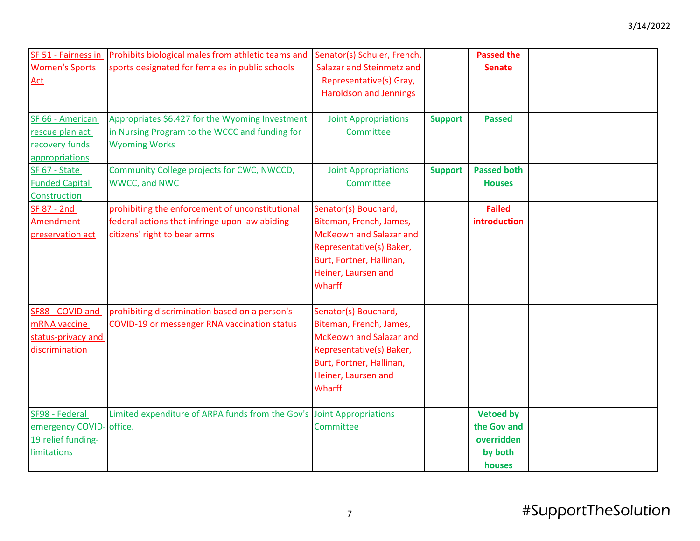| SF 51 - Fairness in<br><b>Women's Sports</b><br><b>Act</b><br>SF 66 - American         | Prohibits biological males from athletic teams and<br>sports designated for females in public schools<br>Appropriates \$6.427 for the Wyoming Investment | Senator(s) Schuler, French,<br>Salazar and Steinmetz and<br>Representative(s) Gray,<br><b>Haroldson and Jennings</b><br><b>Joint Appropriations</b>                 | <b>Support</b> | <b>Passed the</b><br><b>Senate</b><br><b>Passed</b>                |  |
|----------------------------------------------------------------------------------------|----------------------------------------------------------------------------------------------------------------------------------------------------------|---------------------------------------------------------------------------------------------------------------------------------------------------------------------|----------------|--------------------------------------------------------------------|--|
| rescue plan act<br>recovery funds<br>appropriations                                    | in Nursing Program to the WCCC and funding for<br><b>Wyoming Works</b>                                                                                   | Committee                                                                                                                                                           |                |                                                                    |  |
| SF 67 - State<br><b>Funded Capital</b><br>Construction                                 | Community College projects for CWC, NWCCD,<br>WWCC, and NWC                                                                                              | <b>Joint Appropriations</b><br>Committee                                                                                                                            | <b>Support</b> | <b>Passed both</b><br><b>Houses</b>                                |  |
| SF 87 - 2nd<br>Amendment<br>preservation act                                           | prohibiting the enforcement of unconstitutional<br>federal actions that infringe upon law abiding<br>citizens' right to bear arms                        | Senator(s) Bouchard,<br>Biteman, French, James,<br>McKeown and Salazar and<br>Representative(s) Baker,<br>Burt, Fortner, Hallinan,<br>Heiner, Laursen and<br>Wharff |                | <b>Failed</b><br>introduction                                      |  |
| SF88 - COVID and<br>mRNA vaccine<br>status-privacy and<br>discrimination               | prohibiting discrimination based on a person's<br>COVID-19 or messenger RNA vaccination status                                                           | Senator(s) Bouchard,<br>Biteman, French, James,<br>McKeown and Salazar and<br>Representative(s) Baker,<br>Burt, Fortner, Hallinan,<br>Heiner, Laursen and<br>Wharff |                |                                                                    |  |
| SF98 - Federal<br>emergency COVID- office.<br>19 relief funding-<br><b>limitations</b> | Limited expenditure of ARPA funds from the Gov's Joint Appropriations                                                                                    | Committee                                                                                                                                                           |                | <b>Vetoed by</b><br>the Gov and<br>overridden<br>by both<br>houses |  |